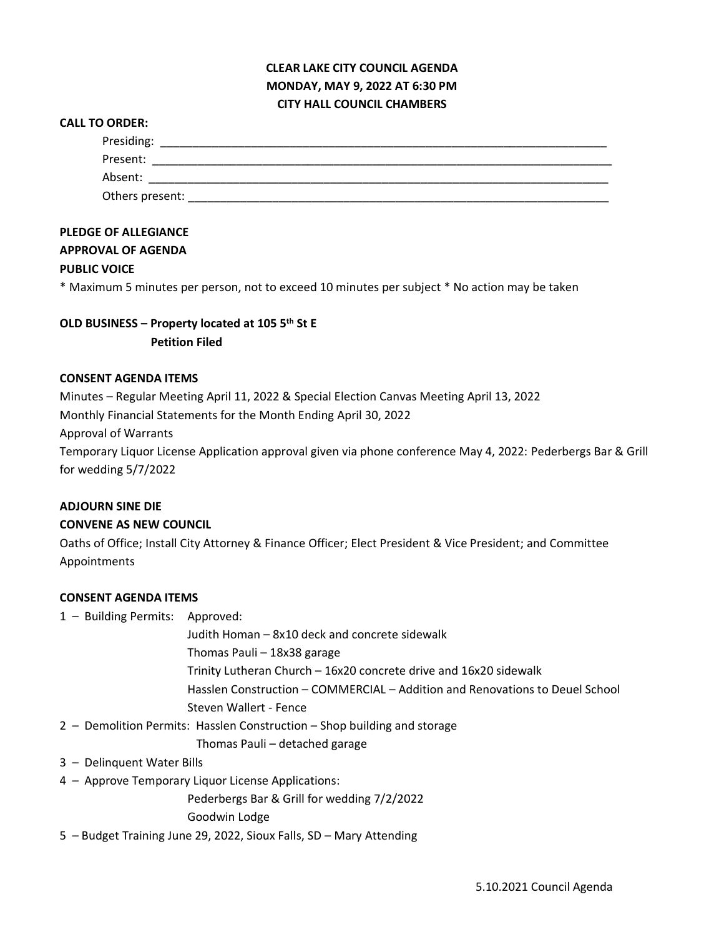# **CLEAR LAKE CITY COUNCIL AGENDA MONDAY, MAY 9, 2022 AT 6:30 PM CITY HALL COUNCIL CHAMBERS**

#### **CALL TO ORDER:**

| Presiding:      |  |  |
|-----------------|--|--|
| Present:        |  |  |
| Absent:         |  |  |
| Others present: |  |  |

## **PLEDGE OF ALLEGIANCE**

## **APPROVAL OF AGENDA**

### **PUBLIC VOICE**

\* Maximum 5 minutes per person, not to exceed 10 minutes per subject \* No action may be taken

# **OLD BUSINESS – Property located at 105 5th St E Petition Filed**

#### **CONSENT AGENDA ITEMS**

Minutes – Regular Meeting April 11, 2022 & Special Election Canvas Meeting April 13, 2022 Monthly Financial Statements for the Month Ending April 30, 2022

Approval of Warrants

Temporary Liquor License Application approval given via phone conference May 4, 2022: Pederbergs Bar & Grill for wedding 5/7/2022

#### **ADJOURN SINE DIE**

#### **CONVENE AS NEW COUNCIL**

Oaths of Office; Install City Attorney & Finance Officer; Elect President & Vice President; and Committee Appointments

### **CONSENT AGENDA ITEMS**

1 – Building Permits: Approved:

Judith Homan – 8x10 deck and concrete sidewalk Thomas Pauli – 18x38 garage

Trinity Lutheran Church – 16x20 concrete drive and 16x20 sidewalk

Hasslen Construction – COMMERCIAL – Addition and Renovations to Deuel School Steven Wallert - Fence

2 – Demolition Permits: Hasslen Construction – Shop building and storage

Thomas Pauli – detached garage

- 3 Delinquent Water Bills
- 4 Approve Temporary Liquor License Applications:

Pederbergs Bar & Grill for wedding 7/2/2022

Goodwin Lodge

5 – Budget Training June 29, 2022, Sioux Falls, SD – Mary Attending